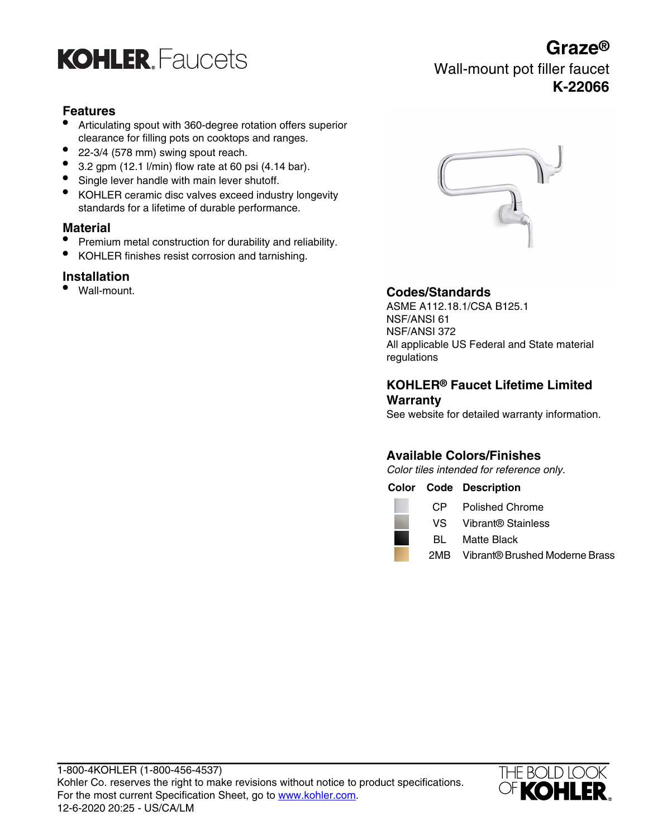

## **Features**

- Articulating spout with 360-degree rotation offers superior clearance for filling pots on cooktops and ranges.
- 22-3/4 (578 mm) swing spout reach.
- $\bullet$  3.2 gpm (12.1 l/min) flow rate at 60 psi (4.14 bar).
- Single lever handle with main lever shutoff.
- KOHLER ceramic disc valves exceed industry longevity standards for a lifetime of durable performance.

### **Material**

- Premium metal construction for durability and reliability.
- KOHLER finishes resist corrosion and tarnishing.

## **Installation**<br>• Wall-mount.



## • Wall-mount. **Codes/Standards**

ASME A112.18.1/CSA B125.1 NSF/ANSI 61 NSF/ANSI 372 All applicable US Federal and State material regulations

### **KOHLER® Faucet Lifetime Limited Warranty**

See website for detailed warranty information.

## **Available Colors/Finishes**

Color tiles intended for reference only.

#### **Color Code Description**

|     | CP Polished Chrome                 |
|-----|------------------------------------|
|     | VS Vibrant® Stainless              |
| BL. | Matte Black                        |
|     | 2MB Vibrant® Brushed Moderne Brass |



## **Graze®**

Wall-mount pot filler faucet **K-22066**